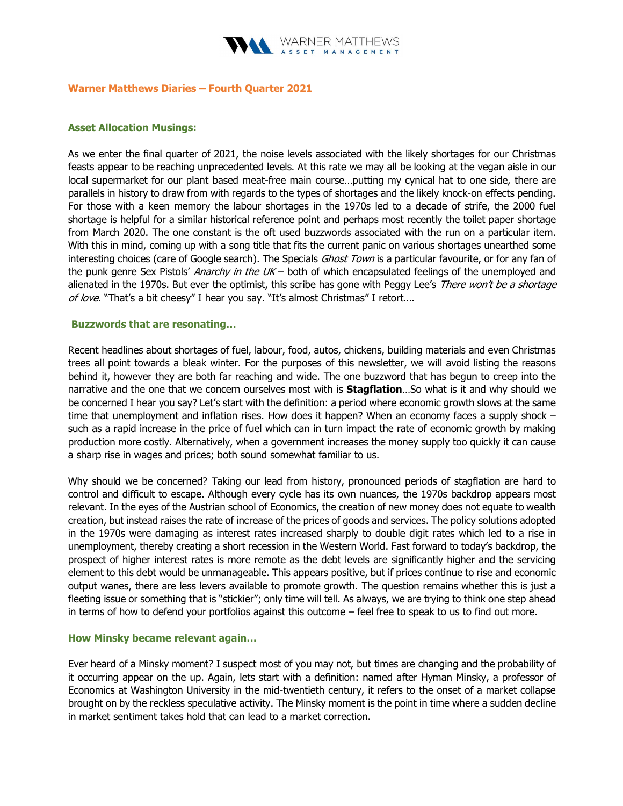

### Warner Matthews Diaries – Fourth Quarter 2021

### Asset Allocation Musings:

As we enter the final quarter of 2021, the noise levels associated with the likely shortages for our Christmas feasts appear to be reaching unprecedented levels. At this rate we may all be looking at the vegan aisle in our local supermarket for our plant based meat-free main course…putting my cynical hat to one side, there are parallels in history to draw from with regards to the types of shortages and the likely knock-on effects pending. For those with a keen memory the labour shortages in the 1970s led to a decade of strife, the 2000 fuel shortage is helpful for a similar historical reference point and perhaps most recently the toilet paper shortage from March 2020. The one constant is the oft used buzzwords associated with the run on a particular item. With this in mind, coming up with a song title that fits the current panic on various shortages unearthed some interesting choices (care of Google search). The Specials *Ghost Town* is a particular favourite, or for any fan of the punk genre Sex Pistols' Anarchy in the UK – both of which encapsulated feelings of the unemployed and alienated in the 1970s. But ever the optimist, this scribe has gone with Peggy Lee's There won't be a shortage of love. "That's a bit cheesy" I hear you say. "It's almost Christmas" I retort....

### Buzzwords that are resonating…

Recent headlines about shortages of fuel, labour, food, autos, chickens, building materials and even Christmas trees all point towards a bleak winter. For the purposes of this newsletter, we will avoid listing the reasons behind it, however they are both far reaching and wide. The one buzzword that has begun to creep into the narrative and the one that we concern ourselves most with is **Stagflation**...So what is it and why should we be concerned I hear you say? Let's start with the definition: a period where economic growth slows at the same time that unemployment and inflation rises. How does it happen? When an economy faces a supply shock – such as a rapid increase in the price of fuel which can in turn impact the rate of economic growth by making production more costly. Alternatively, when a government increases the money supply too quickly it can cause a sharp rise in wages and prices; both sound somewhat familiar to us.

Why should we be concerned? Taking our lead from history, pronounced periods of stagflation are hard to control and difficult to escape. Although every cycle has its own nuances, the 1970s backdrop appears most relevant. In the eyes of the Austrian school of Economics, the creation of new money does not equate to wealth creation, but instead raises the rate of increase of the prices of goods and services. The policy solutions adopted in the 1970s were damaging as interest rates increased sharply to double digit rates which led to a rise in unemployment, thereby creating a short recession in the Western World. Fast forward to today's backdrop, the prospect of higher interest rates is more remote as the debt levels are significantly higher and the servicing element to this debt would be unmanageable. This appears positive, but if prices continue to rise and economic output wanes, there are less levers available to promote growth. The question remains whether this is just a fleeting issue or something that is "stickier"; only time will tell. As always, we are trying to think one step ahead in terms of how to defend your portfolios against this outcome – feel free to speak to us to find out more.

# How Minsky became relevant again…

Ever heard of a Minsky moment? I suspect most of you may not, but times are changing and the probability of it occurring appear on the up. Again, lets start with a definition: named after Hyman Minsky, a professor of Economics at Washington University in the mid-twentieth century, it refers to the onset of a market collapse brought on by the reckless speculative activity. The Minsky moment is the point in time where a sudden decline in market sentiment takes hold that can lead to a market correction.